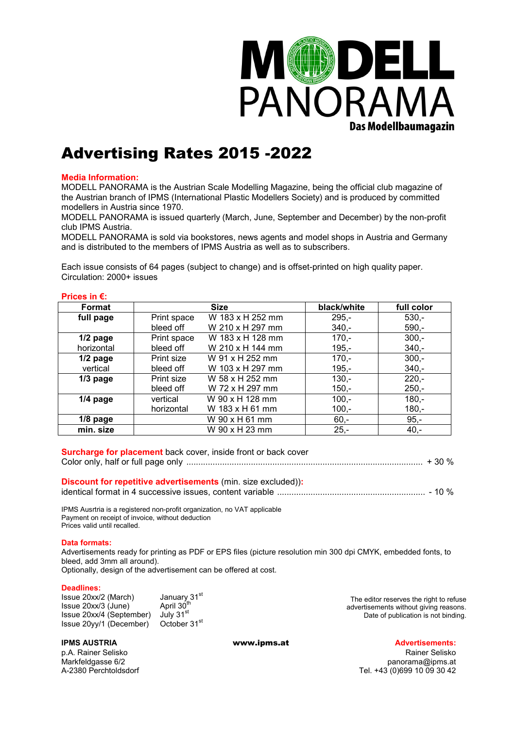

# Advertising Rates 2015 -2022

### **Media Information:**

MODELL PANORAMA is the Austrian Scale Modelling Magazine, being the official club magazine of the Austrian branch of IPMS (International Plastic Modellers Society) and is produced by committed modellers in Austria since 1970.

MODELL PANORAMA is issued quarterly (March, June, September and December) by the non-profit club IPMS Austria.

MODELL PANORAMA is sold via bookstores, news agents and model shops in Austria and Germany and is distributed to the members of IPMS Austria as well as to subscribers.

Each issue consists of 64 pages (subject to change) and is offset-printed on high quality paper. Circulation: 2000+ issues

### **Prices in €:**

| Format     |             | <b>Size</b>      | black/white | full color |
|------------|-------------|------------------|-------------|------------|
| full page  | Print space | W 183 x H 252 mm | $295 -$     | $530 -$    |
|            | bleed off   | W 210 x H 297 mm | $340 -$     | $590 -$    |
| $1/2$ page | Print space | W 183 x H 128 mm | $170 -$     | $300 -$    |
| horizontal | bleed off   | W 210 x H 144 mm | $195,-$     | $340 -$    |
| $1/2$ page | Print size  | W 91 x H 252 mm  | $170,-$     | $300,-$    |
| vertical   | bleed off   | W 103 x H 297 mm | $195,-$     | $340 -$    |
| $1/3$ page | Print size  | W 58 x H 252 mm  | $130 -$     | $220 -$    |
|            | bleed off   | W 72 x H 297 mm  | $150,-$     | $250 -$    |
| $1/4$ page | vertical    | W 90 x H 128 mm  | $100,-$     | $180 -$    |
|            | horizontal  | W 183 x H 61 mm  | $100,-$     | $180,-$    |
| $1/8$ page |             | W 90 x H 61 mm   | $60 -$      | $95 -$     |
| min. size  |             | W 90 x H 23 mm   | $25 -$      | $40,-$     |

**Surcharge for placement** back cover, inside front or back cover Color only, half or full page only ................................................................................................... + 30 % **Discount for repetitive advertisements** (min. size excluded))**:** identical format in 4 successive issues, content variable .............................................................. - 10 %

IPMS Ausrtria is a registered non-profit organization, no VAT applicable Payment on receipt of invoice, without deduction Prices valid until recalled.

#### **Data formats:**

Advertisements ready for printing as PDF or EPS files (picture resolution min 300 dpi CMYK, embedded fonts, to bleed, add 3mm all around). Optionally, design of the advertisement can be offered at cost.

#### **Deadlines:**

Issue 20xx/2 (March) January 31<sup>st</sup><br>Issue 20xx/3 (June) April 30<sup>th</sup> Issue 20xx/3 (June) Issue 20xx/4 (September) July 31<sup>st</sup><br>Issue 20yy/1 (December) October 31<sup>st</sup> Issue 20yy/1 (December)

The editor reserves the right to refuse advertisements without giving reasons. Date of publication is not binding.

**IPMS AUSTRIA WWW.ipms.at Advertisements:** 

p.A. Rainer Selisko **Rainer Selisko Rainer Selisko** Rainer Selisko Rainer Selisko Rainer Selisko Rainer Selisko<br>Markfeldgasse 6/2 Markfeldgasse 6/2 panorama@ipms.at<br>A-2380 Perchtoldsdorf and the state of the state of the state of the state of the state of the state of the st Tel. +43 (0)699 10 09 30 42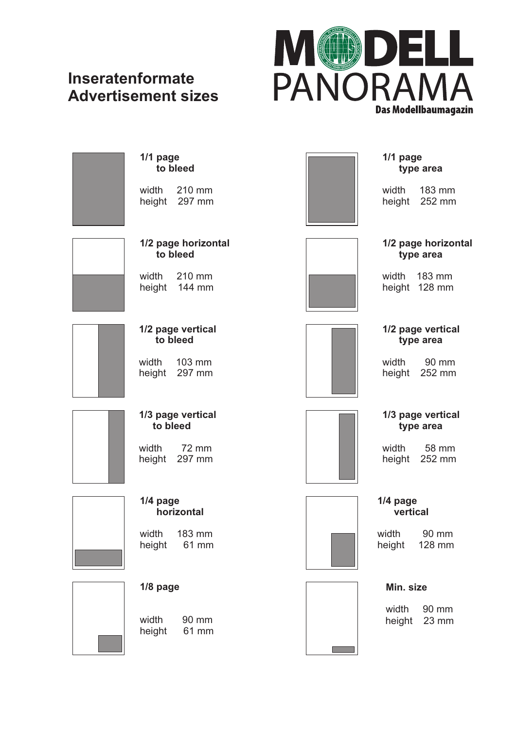## **Inseratenformate Advertisement sizes**



| <b>Tripage</b><br>to bleed |                                 |  |  |  |  |
|----------------------------|---------------------------------|--|--|--|--|
|                            | width 210 mm<br>height 297 mm   |  |  |  |  |
|                            | 1/2 page horizontal<br>to bleed |  |  |  |  |
| حا4اھ ٺيو                  | <b>Inn Inn</b>                  |  |  |  |  |

page **to bleed**



width 210 mm height 144 mm



## **to bleed** width 103 mm

**1/2 page vertical**

height 297 mm

**1/3 page vertical to bleed**

> width 72 mm height 297 mm

> > **horizontal**



width 183 mm<br>height 61 mm height



**1/8 page**

**1/4 page**

width 90 mm<br>height 61 mm height



### **1/1 page type area**

width 183 mm height 252 mm



### **1/2 page horizontal type area**

width 183 mm height 128 mm



## **1/2 page vertical type area**

width 90 mm height 252 mm



## **1/3 page vertical type area**

width 58 mm height 252 mm



**1/4 page vertical**

width 90 mm<br>height 128 mm 128 mm



**Min. size**

width 90 mm height 23 mm